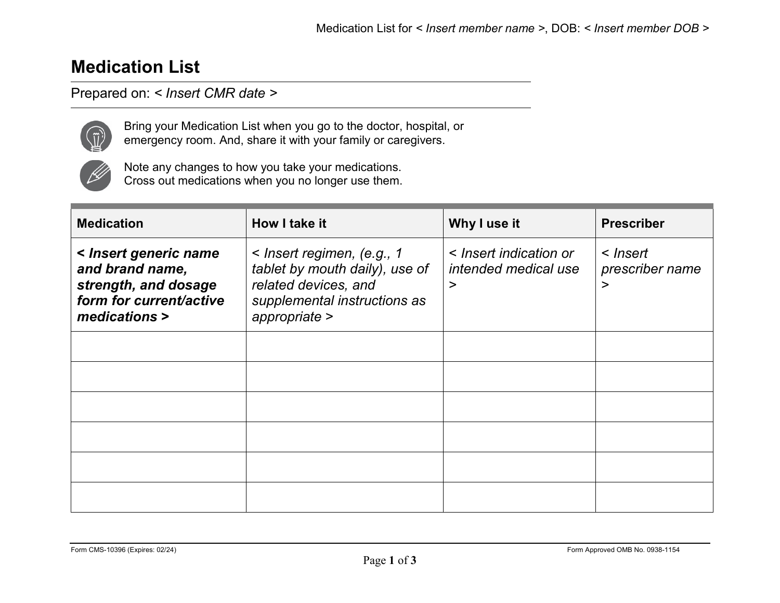## **Medication List**

## Prepared on: *< Insert CMR date >*



Bring your Medication List when you go to the doctor, hospital, or emergency room. And, share it with your family or caregivers.



Note any changes to how you take your medications. Cross out medications when you no longer use them.

| <b>Medication</b>                                                                                            | How I take it                                                                                                                              | Why I use it                                             | <b>Prescriber</b>                |
|--------------------------------------------------------------------------------------------------------------|--------------------------------------------------------------------------------------------------------------------------------------------|----------------------------------------------------------|----------------------------------|
| < Insert generic name<br>and brand name,<br>strength, and dosage<br>form for current/active<br>medications > | $\leq$ lnsert regimen, (e.g., 1<br>tablet by mouth daily), use of<br>related devices, and<br>supplemental instructions as<br>appropriate > | < Insert indication or<br>intended medical use<br>$\geq$ | < Insert<br>prescriber name<br>> |
|                                                                                                              |                                                                                                                                            |                                                          |                                  |
|                                                                                                              |                                                                                                                                            |                                                          |                                  |
|                                                                                                              |                                                                                                                                            |                                                          |                                  |
|                                                                                                              |                                                                                                                                            |                                                          |                                  |
|                                                                                                              |                                                                                                                                            |                                                          |                                  |
|                                                                                                              |                                                                                                                                            |                                                          |                                  |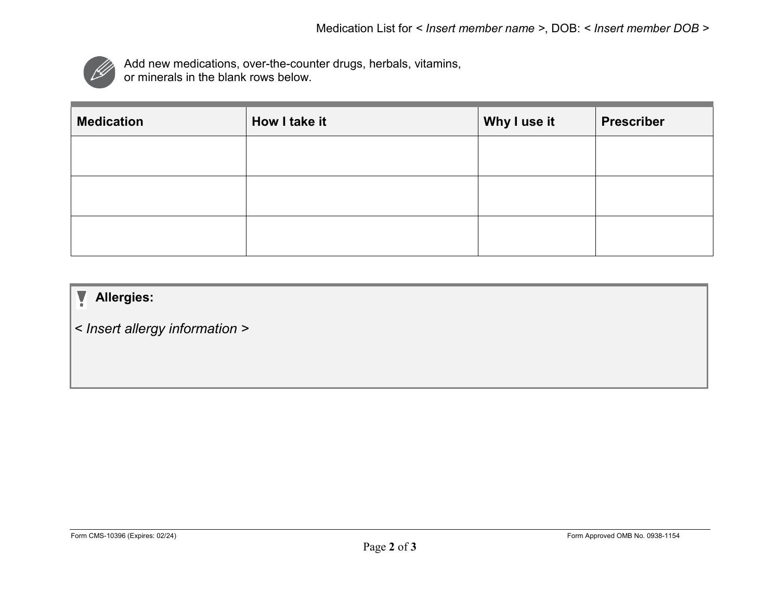

Add new medications, over-the-counter drugs, herbals, vitamins, or minerals in the blank rows below.

| <b>Medication</b> | How I take it | Why I use it | <b>Prescriber</b> |
|-------------------|---------------|--------------|-------------------|
|                   |               |              |                   |
|                   |               |              |                   |
|                   |               |              |                   |
|                   |               |              |                   |

## y • **Allergies:**

*< Insert allergy information >*